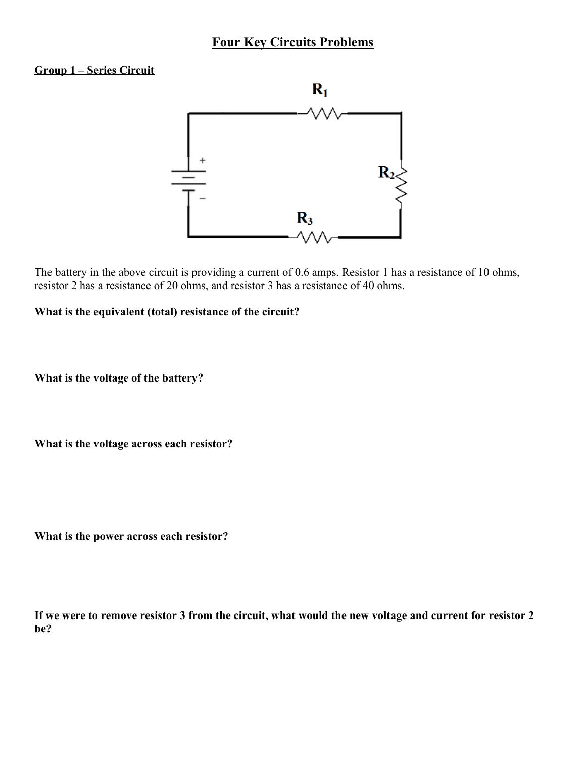# **Four Key Circuits Problems**

### **Group 1 – Series Circuit**



The battery in the above circuit is providing a current of 0.6 amps. Resistor 1 has a resistance of 10 ohms, resistor 2 has a resistance of 20 ohms, and resistor 3 has a resistance of 40 ohms.

**What is the equivalent (total) resistance of the circuit?**

**What is the voltage of the battery?**

**What is the voltage across each resistor?**

**What is the power across each resistor?**

**If we were to remove resistor 3 from the circuit, what would the new voltage and current for resistor 2 be?**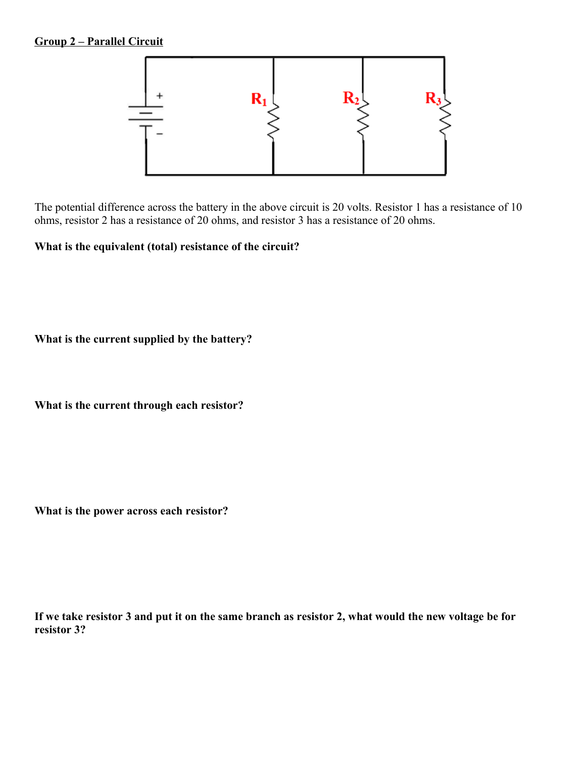## **Group 2 – Parallel Circuit**



The potential difference across the battery in the above circuit is 20 volts. Resistor 1 has a resistance of 10 ohms, resistor 2 has a resistance of 20 ohms, and resistor 3 has a resistance of 20 ohms.

**What is the equivalent (total) resistance of the circuit?**

**What is the current supplied by the battery?**

**What is the current through each resistor?**

**What is the power across each resistor?**

**If we take resistor 3 and put it on the same branch as resistor 2, what would the new voltage be for resistor 3?**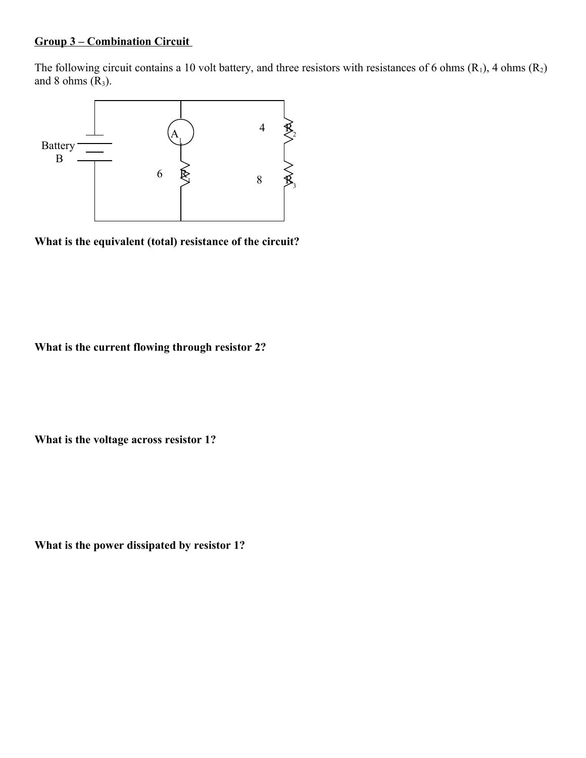## **Group 3 – Combination Circuit**

The following circuit contains a 10 volt battery, and three resistors with resistances of 6 ohms  $(R_1)$ , 4 ohms  $(R_2)$ and 8 ohms  $(R_3)$ .



**What is the equivalent (total) resistance of the circuit?**

**What is the current flowing through resistor 2?**

**What is the voltage across resistor 1?**

**What is the power dissipated by resistor 1?**